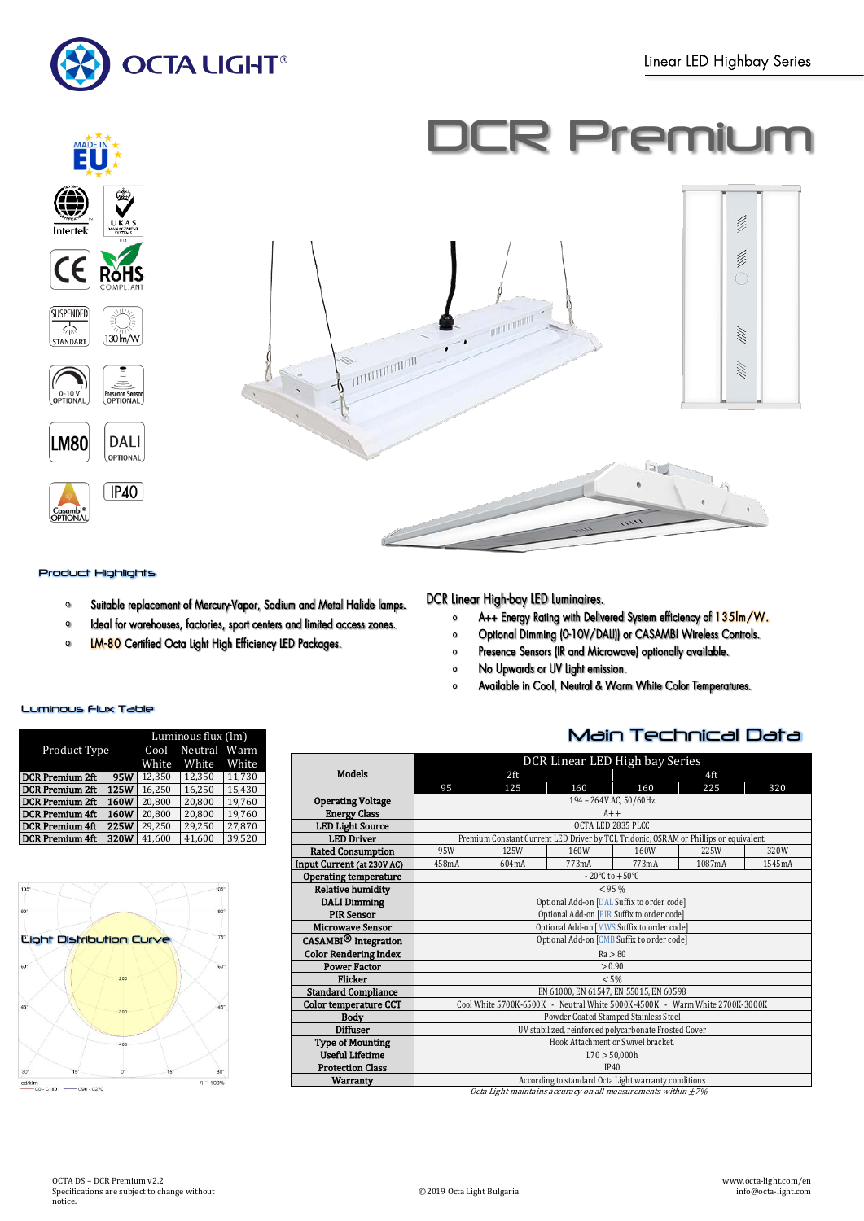

# R Premium



#### Product Highlights

- Suitable replacement of Mercury-Vapor, Sodium and Metal Halide lamps.  $\Omega$
- Ideal for warehouses, factories, sport centers and limited access zones.  $\bullet$
- **LM-80** Certified Octa Light High Efficiency LED Packages.  $\circ$

## DCR Linear High-bay LED Luminaires.

- A++ Energy Rating with Delivered System efficiency of 135lm/W.  $\mathbf{o}$
- Optional Dimming (0-10V/DALI)) or CASAMBI Wireless Controls.  $\circ$
- Presence Sensors (IR and Microwave) optionally available.  $\bullet$
- No Upwards or UV Light emission.  $\circ$
- Available in Cool, Neutral & Warm White Color Temperatures.  $\Omega$

## Main Technical Data

|                                                                    | DCR Linear LED High bay Series                                              |       |       |                                                                                        |        |        |
|--------------------------------------------------------------------|-----------------------------------------------------------------------------|-------|-------|----------------------------------------------------------------------------------------|--------|--------|
| <b>Models</b>                                                      |                                                                             | 2ft   |       |                                                                                        | 4ft    |        |
|                                                                    | 95                                                                          | 125   | 160   | 160                                                                                    | 225    | 320    |
| <b>Operating Voltage</b>                                           | 194 - 264V AC, 50/60Hz                                                      |       |       |                                                                                        |        |        |
| <b>Energy Class</b>                                                |                                                                             |       | $A++$ |                                                                                        |        |        |
| <b>LED Light Source</b>                                            | OCTA LED 2835 PLCC                                                          |       |       |                                                                                        |        |        |
| <b>LED Driver</b>                                                  |                                                                             |       |       | Premium Constant Current LED Driver by TCI, Tridonic, OSRAM or Phillips or equivalent. |        |        |
| <b>Rated Consumption</b>                                           | 95W                                                                         | 125W  | 160W  | 160W                                                                                   | 225W   | 320W   |
| Input Current (at 230V AC)                                         | 458mA                                                                       | 604mA | 773mA | 773mA                                                                                  | 1087mA | 1545mA |
| <b>Operating temperature</b>                                       | $-20^{\circ}$ C to $+50^{\circ}$ C                                          |       |       |                                                                                        |        |        |
| <b>Relative humidity</b>                                           | < 95%                                                                       |       |       |                                                                                        |        |        |
| <b>DALI Dimming</b>                                                | Optional Add-on [DAL Suffix to order code]                                  |       |       |                                                                                        |        |        |
| <b>PIR Sensor</b>                                                  | Optional Add-on [PIR Suffix to order code]                                  |       |       |                                                                                        |        |        |
| <b>Microwave Sensor</b>                                            | Optional Add-on [MWS Suffix to order code]                                  |       |       |                                                                                        |        |        |
| CASAMBI <sup>®</sup> Integration                                   | Optional Add-on [CMB Suffix to order code]                                  |       |       |                                                                                        |        |        |
| <b>Color Rendering Index</b>                                       | Ra > 80                                                                     |       |       |                                                                                        |        |        |
| <b>Power Factor</b>                                                | > 0.90                                                                      |       |       |                                                                                        |        |        |
| Flicker                                                            | < 5%                                                                        |       |       |                                                                                        |        |        |
| <b>Standard Compliance</b>                                         | EN 61000, EN 61547, EN 55015, EN 60598                                      |       |       |                                                                                        |        |        |
| <b>Color temperature CCT</b>                                       | Cool White 5700K-6500K - Neutral White 5000K-4500K - Warm White 2700K-3000K |       |       |                                                                                        |        |        |
| Body                                                               | Powder Coated Stamped Stainless Steel                                       |       |       |                                                                                        |        |        |
| <b>Diffuser</b>                                                    | UV stabilized, reinforced polycarbonate Frosted Cover                       |       |       |                                                                                        |        |        |
| <b>Type of Mounting</b>                                            | Hook Attachment or Swivel bracket.                                          |       |       |                                                                                        |        |        |
| <b>Useful Lifetime</b>                                             | L70 > 50,000h                                                               |       |       |                                                                                        |        |        |
| <b>Protection Class</b>                                            | IP40                                                                        |       |       |                                                                                        |        |        |
| Warranty                                                           | According to standard Octa Light warranty conditions                        |       |       |                                                                                        |        |        |
| Octa Light maintains accuracy on all measurements within $\pm 7\%$ |                                                                             |       |       |                                                                                        |        |        |

## Luminous Flux Table

|                                      | Luminous flux (lm) |              |        |  |
|--------------------------------------|--------------------|--------------|--------|--|
| Product Type                         | Cool               | Neutral Warm |        |  |
|                                      | White              | White        | White  |  |
| <b>95W</b><br><b>DCR Premium 2ft</b> | 12.350             | 12.350       | 11.730 |  |
| 125W<br><b>DCR Premium 2ft</b>       | 16.250             | 16.250       | 15.430 |  |
| 160W<br><b>DCR Premium 2ft</b>       | 20.800             | 20.800       | 19.760 |  |
| 160W<br><b>DCR Premium 4ft</b>       | 20.800             | 20.800       | 19.760 |  |
| 225W<br><b>DCR Premium 4ft</b>       | 29.250             | 29.250       | 27.870 |  |
| 320W<br>DCR Premium 4ft              | 41.600             | 41.600       | 39,520 |  |